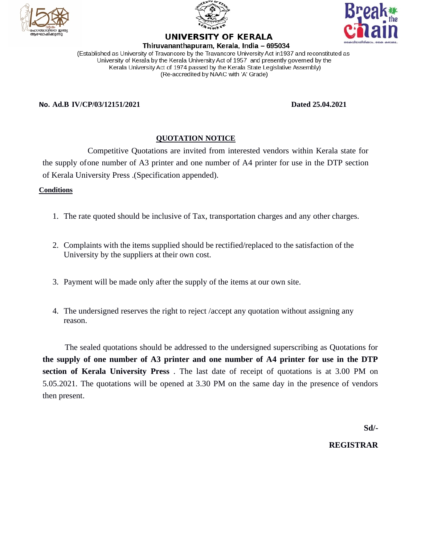





UNIVERSITY OF KERALA

Thiruvananthapuram, Kerala, India - 695034 (Established as University of Travancore by the Travancore University Act in1937 and reconstituted as University of Kerala by the Kerala University Act of 1957 and presently governed by the Kerala University Act of 1974 passed by the Kerala State Legislative Assembly) (Re-accredited by NAAC with 'A' Grade)

#### **No. Ad.B IV/CP/03/12151/2021 Dated 25.04.2021**

### **QUOTATION NOTICE**

Competitive Quotations are invited from interested vendors within Kerala state for the supply ofone number of A3 printer and one number of A4 printer for use in the DTP section of Kerala University Press .(Specification appended).

#### **Conditions**

- 1. The rate quoted should be inclusive of Tax, transportation charges and any other charges.
- 2. Complaints with the items supplied should be rectified/replaced to the satisfaction of the University by the suppliers at their own cost.
- 3. Payment will be made only after the supply of the items at our own site.
- 4. The undersigned reserves the right to reject /accept any quotation without assigning any reason.

The sealed quotations should be addressed to the undersigned superscribing as Quotations for **the supply of one number of A3 printer and one number of A4 printer for use in the DTP section of Kerala University Press** . The last date of receipt of quotations is at 3.00 PM on 5.05.2021. The quotations will be opened at 3.30 PM on the same day in the presence of vendors then present.

**Sd/-**

#### **REGISTRAR**